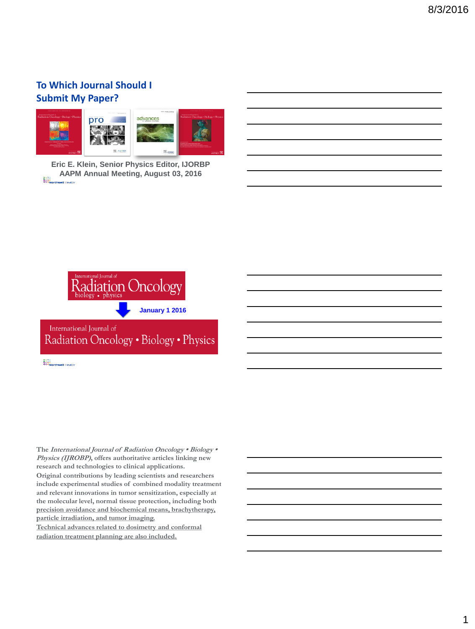## **To Which Journal Should I Submit My Paper?**



**Eric E. Klein, Senior Physics Editor, IJORBP AAPM Annual Meeting, August 03, 2016**



1111<br>111 Northwell I lealth:

The International Journal of Radiation Oncology • Biology • **Physics (IJROBP), offers authoritative articles linking new research and technologies to clinical applications.** 

**Original contributions by leading scientists and researchers include experimental studies of combined modality treatment and relevant innovations in tumor sensitization, especially at the molecular level, normal tissue protection, including both precision avoidance and biochemical means, brachytherapy, particle irradiation, and tumor imaging.** 

**Technical advances related to dosimetry and conformal radiation treatment planning are also included.**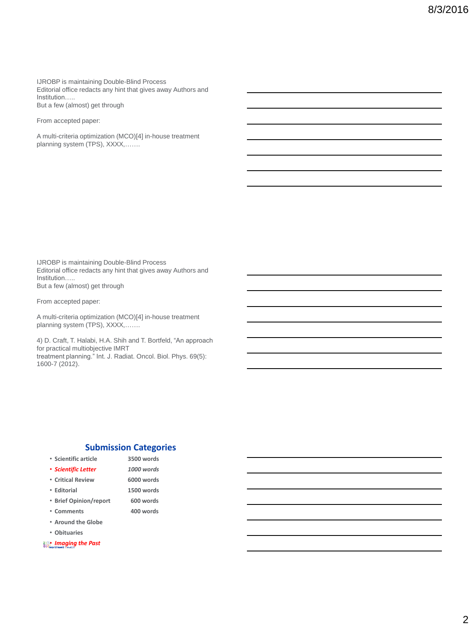IJROBP is maintaining Double-Blind Process<br>Editorial office redacts any hint that gives away Authors and Institution….. But a few (almost) get through

From accepted paper:

A multi-criteria optimization (MCO)[4] in-house treatment planning system (TPS), XXXX,.......

IJROBP is maintaining Double-Blind Process<br>Editorial office redacts any hint that gives away Authors and Institution….. But a few (almost) get through

From accepted paper:

A multi-criteria optimization (MCO)[4] in-house treatment planning system (TPS), XXXX,.......

4) D. Craft, T. Halabi, H.A. Shih and T. Bortfeld, "An approach for practical multiobjective IMRT treatment planning." Int. J. Radiat. Oncol. Biol. Phys. 69(5): 1600-7 (2012).

#### **Submission Categories**

- **Scientific article 3500 words**
- *Scientific Letter 1000 words*
- **Critical Review 6000 words**
- **Editorial 1500 words**
- **Brief Opinion/report 600 words**
- **Comments 400 words**
	-
- **Around the Globe** • **Obituaries**
- *Imaging the Past*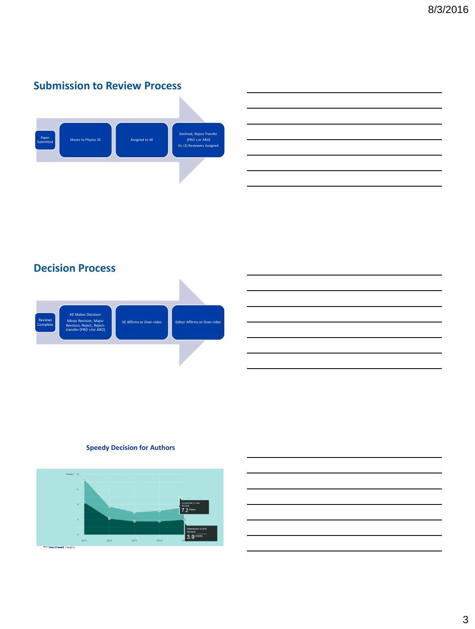# **Submission to Review Process**



# **Decision Process**



### **Speedy Decision for Authors**

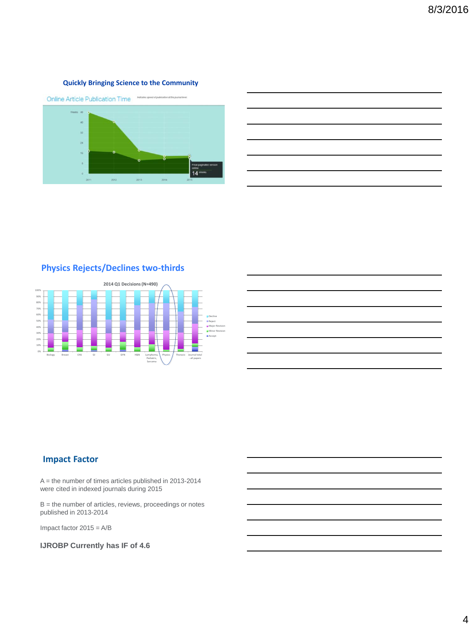#### **Quickly Bringing Science to the Community**



## **Physics Rejects/Declines two-thirds**



## **Impact Factor**

A = the number of times articles published in 2013-2014 were cited in indexed journals during 2015

B = the number of articles, reviews, proceedings or notes published in 2013-2014

Impact factor 2015 = A/B

**IJROBP Currently has IF of 4.6**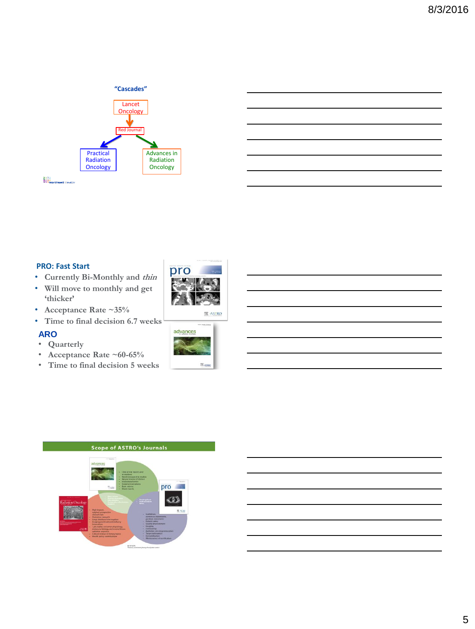#### **"Cascades"**



1111<br>111 Northwell Health

### **PRO: Fast Start**

- **Currently Bi-Monthly and thin**
- **Will move to monthly and get 'thicker'**
- **Acceptance Rate ~35%**
- **Time to final decision 6.7 weeks**

## **ARO**

- **Quarterly**
- **Acceptance Rate ~60-65%**
- **Time to final decision 5 weeks**